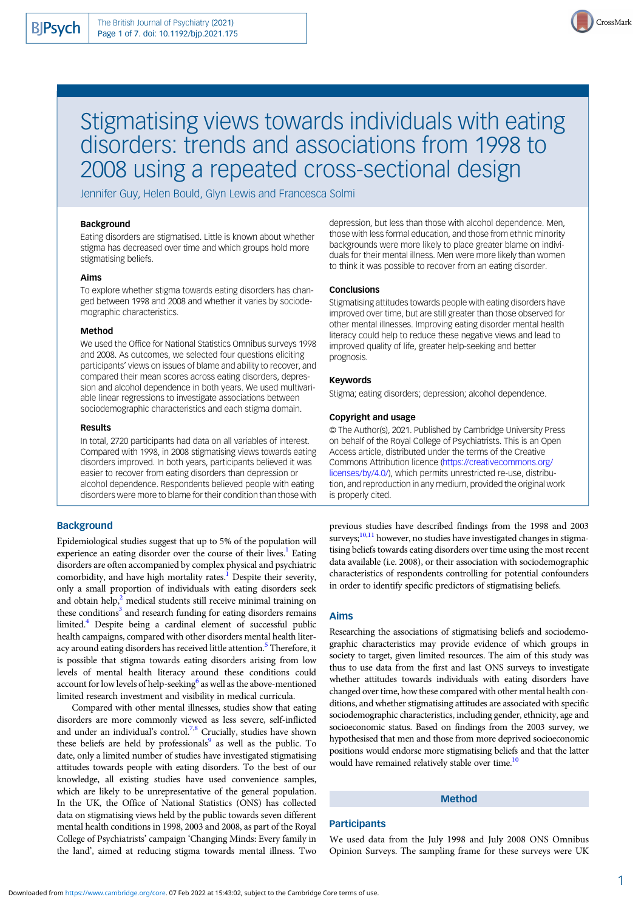

# Stigmatising views towards individuals with eating disorders: trends and associations from 1998 to 2008 using a repeated cross-sectional design

Jennifer Guy, Helen Bould, Glyn Lewis and Francesca Solmi

#### Background

Eating disorders are stigmatised. Little is known about whether stigma has decreased over time and which groups hold more stigmatising beliefs.

## Aims

To explore whether stigma towards eating disorders has changed between 1998 and 2008 and whether it varies by sociodemographic characteristics.

## Method

We used the Office for National Statistics Omnibus surveys 1998 and 2008. As outcomes, we selected four questions eliciting participants' views on issues of blame and ability to recover, and compared their mean scores across eating disorders, depression and alcohol dependence in both years. We used multivariable linear regressions to investigate associations between sociodemographic characteristics and each stigma domain.

#### Results

In total, 2720 participants had data on all variables of interest. Compared with 1998, in 2008 stigmatising views towards eating disorders improved. In both years, participants believed it was easier to recover from eating disorders than depression or alcohol dependence. Respondents believed people with eating disorders were more to blame for their condition than those with

# **Background**

Epidemiological studies suggest that up to 5% of the population will experience an eating disorder over the course of their lives.<sup>1</sup> Eating disorders are often accompanied by complex physical and psychiatric comorbidity, and have high mortality rates.<sup>[1](#page-6-0)</sup> Despite their severity, only a small proportion of individuals with eating disorders seek and obtain help,<sup>2</sup> medical students still receive minimal training on these conditions $3$  and research funding for eating disorders remains limited.<sup>4</sup> Despite being a cardinal element of successful public health campaigns, compared with other disorders mental health liter-acy around eating disorders has received little attention.<sup>[5](#page-6-0)</sup> Therefore, it is possible that stigma towards eating disorders arising from low levels of mental health literacy around these conditions could account for low levels of help-seeking<sup>[6](#page-6-0)</sup> as well as the above-mentioned limited research investment and visibility in medical curricula.

Compared with other mental illnesses, studies show that eating disorders are more commonly viewed as less severe, self-inflicted and under an individual's control.<sup>7,[8](#page-6-0)</sup> Crucially, studies have shown these beliefs are held by professionals $9$  as well as the public. To date, only a limited number of studies have investigated stigmatising attitudes towards people with eating disorders. To the best of our knowledge, all existing studies have used convenience samples, which are likely to be unrepresentative of the general population. In the UK, the Office of National Statistics (ONS) has collected data on stigmatising views held by the public towards seven different mental health conditions in 1998, 2003 and 2008, as part of the Royal College of Psychiatrists' campaign 'Changing Minds: Every family in the land', aimed at reducing stigma towards mental illness. Two

depression, but less than those with alcohol dependence. Men, those with less formal education, and those from ethnic minority backgrounds were more likely to place greater blame on individuals for their mental illness. Men were more likely than women to think it was possible to recover from an eating disorder.

## **Conclusions**

Stigmatising attitudes towards people with eating disorders have improved over time, but are still greater than those observed for other mental illnesses. Improving eating disorder mental health literacy could help to reduce these negative views and lead to improved quality of life, greater help-seeking and better prognosis.

#### Keywords

Stigma; eating disorders; depression; alcohol dependence.

#### Copyright and usage

© The Author(s), 2021. Published by Cambridge University Press on behalf of the Royal College of Psychiatrists. This is an Open Access article, distributed under the terms of the Creative Commons Attribution licence [\(https://creativecommons.org/](https://creativecommons.org/licenses/by/4.0/) [licenses/by/4.0/](https://creativecommons.org/licenses/by/4.0/)), which permits unrestricted re-use, distribution, and reproduction in any medium, provided the original work is properly cited.

previous studies have described findings from the 1998 and 2003 surveys;<sup>10,11</sup> however, no studies have investigated changes in stigmatising beliefs towards eating disorders over time using the most recent data available (i.e. 2008), or their association with sociodemographic characteristics of respondents controlling for potential confounders in order to identify specific predictors of stigmatising beliefs.

#### Aims

Researching the associations of stigmatising beliefs and sociodemographic characteristics may provide evidence of which groups in society to target, given limited resources. The aim of this study was thus to use data from the first and last ONS surveys to investigate whether attitudes towards individuals with eating disorders have changed over time, how these compared with other mental health conditions, and whether stigmatising attitudes are associated with specific sociodemographic characteristics, including gender, ethnicity, age and socioeconomic status. Based on findings from the 2003 survey, we hypothesised that men and those from more deprived socioeconomic positions would endorse more stigmatising beliefs and that the latter would have remained relatively stable over time.<sup>10</sup>

# Method

#### **Participants**

We used data from the July 1998 and July 2008 ONS Omnibus Opinion Surveys. The sampling frame for these surveys were UK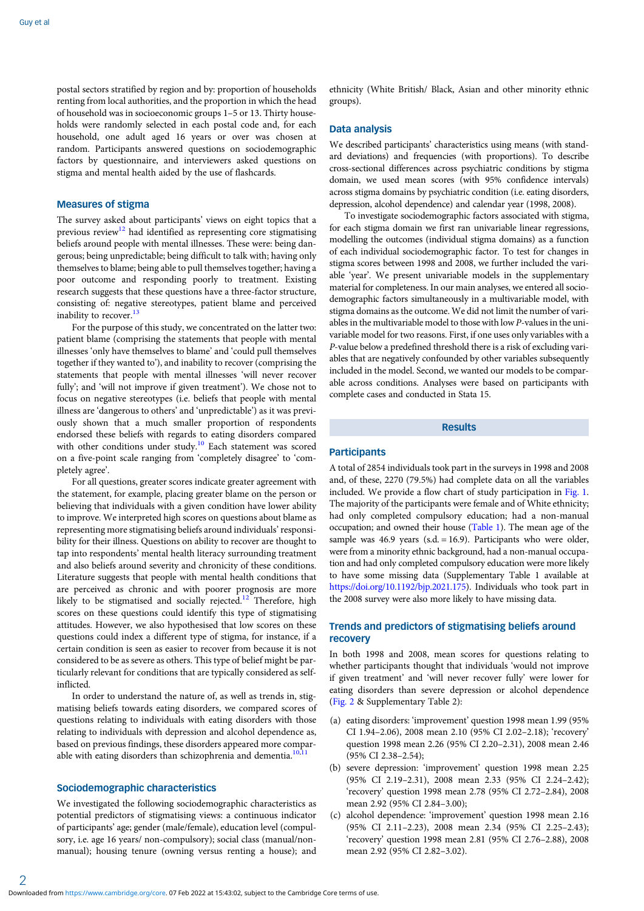postal sectors stratified by region and by: proportion of households renting from local authorities, and the proportion in which the head of household was in socioeconomic groups 1–5 or 13. Thirty households were randomly selected in each postal code and, for each household, one adult aged 16 years or over was chosen at random. Participants answered questions on sociodemographic factors by questionnaire, and interviewers asked questions on stigma and mental health aided by the use of flashcards.

## Measures of stigma

The survey asked about participants' views on eight topics that a previous review<sup>[12](#page-6-0)</sup> had identified as representing core stigmatising beliefs around people with mental illnesses. These were: being dangerous; being unpredictable; being difficult to talk with; having only themselves to blame; being able to pull themselves together; having a poor outcome and responding poorly to treatment. Existing research suggests that these questions have a three-factor structure, consisting of: negative stereotypes, patient blame and perceived inability to recover.<sup>[13](#page-6-0)</sup>

For the purpose of this study, we concentrated on the latter two: patient blame (comprising the statements that people with mental illnesses 'only have themselves to blame' and 'could pull themselves together if they wanted to'), and inability to recover (comprising the statements that people with mental illnesses 'will never recover fully'; and 'will not improve if given treatment'). We chose not to focus on negative stereotypes (i.e. beliefs that people with mental illness are 'dangerous to others' and 'unpredictable') as it was previously shown that a much smaller proportion of respondents endorsed these beliefs with regards to eating disorders compared with other conditions under study.<sup>10</sup> Each statement was scored on a five-point scale ranging from 'completely disagree' to 'completely agree'.

For all questions, greater scores indicate greater agreement with the statement, for example, placing greater blame on the person or believing that individuals with a given condition have lower ability to improve. We interpreted high scores on questions about blame as representing more stigmatising beliefs around individuals' responsibility for their illness. Questions on ability to recover are thought to tap into respondents' mental health literacy surrounding treatment and also beliefs around severity and chronicity of these conditions. Literature suggests that people with mental health conditions that are perceived as chronic and with poorer prognosis are more likely to be stigmatised and socially rejected.<sup>[12](#page-6-0)</sup> Therefore, high scores on these questions could identify this type of stigmatising attitudes. However, we also hypothesised that low scores on these questions could index a different type of stigma, for instance, if a certain condition is seen as easier to recover from because it is not considered to be as severe as others. This type of belief might be particularly relevant for conditions that are typically considered as selfinflicted.

In order to understand the nature of, as well as trends in, stigmatising beliefs towards eating disorders, we compared scores of questions relating to individuals with eating disorders with those relating to individuals with depression and alcohol dependence as, based on previous findings, these disorders appeared more compar-able with eating disorders than schizophrenia and dementia.<sup>[10,11](#page-6-0)</sup>

## Sociodemographic characteristics

We investigated the following sociodemographic characteristics as potential predictors of stigmatising views: a continuous indicator of participants' age; gender (male/female), education level (compulsory, i.e. age 16 years/ non-compulsory); social class (manual/nonmanual); housing tenure (owning versus renting a house); and

ethnicity (White British/ Black, Asian and other minority ethnic groups).

## Data analysis

We described participants' characteristics using means (with standard deviations) and frequencies (with proportions). To describe cross-sectional differences across psychiatric conditions by stigma domain, we used mean scores (with 95% confidence intervals) across stigma domains by psychiatric condition (i.e. eating disorders, depression, alcohol dependence) and calendar year (1998, 2008).

To investigate sociodemographic factors associated with stigma, for each stigma domain we first ran univariable linear regressions, modelling the outcomes (individual stigma domains) as a function of each individual sociodemographic factor. To test for changes in stigma scores between 1998 and 2008, we further included the variable 'year'. We present univariable models in the supplementary material for completeness. In our main analyses, we entered all sociodemographic factors simultaneously in a multivariable model, with stigma domains as the outcome. We did not limit the number of variables in the multivariable model to those with low P-values in the univariable model for two reasons. First, if one uses only variables with a P-value below a predefined threshold there is a risk of excluding variables that are negatively confounded by other variables subsequently included in the model. Second, we wanted our models to be comparable across conditions. Analyses were based on participants with complete cases and conducted in Stata 15.

#### Results

#### **Participants**

A total of 2854 individuals took part in the surveys in 1998 and 2008 and, of these, 2270 (79.5%) had complete data on all the variables included. We provide a flow chart of study participation in [Fig. 1](#page-2-0). The majority of the participants were female and of White ethnicity; had only completed compulsory education; had a non-manual occupation; and owned their house [\(Table 1\)](#page-2-0). The mean age of the sample was  $46.9$  years (s.d. = 16.9). Participants who were older, were from a minority ethnic background, had a non-manual occupation and had only completed compulsory education were more likely to have some missing data (Supplementary Table 1 available at [https://doi.org/10.1192/bjp.2021.175\)](https://doi.org/10.1192/bjp.2021.175). Individuals who took part in the 2008 survey were also more likely to have missing data.

# Trends and predictors of stigmatising beliefs around recovery

In both 1998 and 2008, mean scores for questions relating to whether participants thought that individuals 'would not improve if given treatment' and 'will never recover fully' were lower for eating disorders than severe depression or alcohol dependence ([Fig. 2](#page-3-0) & Supplementary Table 2):

- (a) eating disorders: 'improvement' question 1998 mean 1.99 (95% CI 1.94–2.06), 2008 mean 2.10 (95% CI 2.02–2.18); 'recovery' question 1998 mean 2.26 (95% CI 2.20–2.31), 2008 mean 2.46 (95% CI 2.38–2.54);
- (b) severe depression: 'improvement' question 1998 mean 2.25 (95% CI 2.19–2.31), 2008 mean 2.33 (95% CI 2.24–2.42); 'recovery' question 1998 mean 2.78 (95% CI 2.72–2.84), 2008 mean 2.92 (95% CI 2.84–3.00);
- (c) alcohol dependence: 'improvement' question 1998 mean 2.16 (95% CI 2.11–2.23), 2008 mean 2.34 (95% CI 2.25–2.43); 'recovery' question 1998 mean 2.81 (95% CI 2.76–2.88), 2008 mean 2.92 (95% CI 2.82–3.02).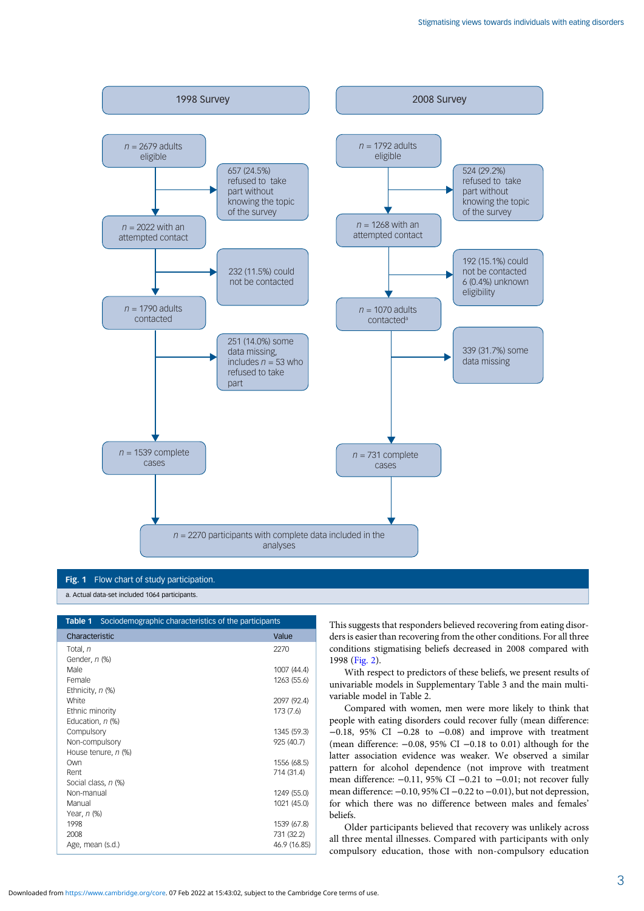<span id="page-2-0"></span>

Fig. 1 Flow chart of study participation.

a. Actual data-set included 1064 participants.

| Sociodemographic characteristics of the participants<br>Table 1 |                            |  |
|-----------------------------------------------------------------|----------------------------|--|
| Characteristic                                                  | Value                      |  |
| Total, n                                                        | 2270                       |  |
| Gender, n (%)                                                   |                            |  |
| Male                                                            | 1007 (44.4)                |  |
| Female                                                          | 1263 (55.6)                |  |
| Ethnicity, n (%)                                                |                            |  |
| White                                                           | 2097 (92.4)                |  |
| Ethnic minority                                                 | 173 (7.6)                  |  |
| Education, n (%)                                                |                            |  |
| Compulsory                                                      | 1345 (59.3)                |  |
| Non-compulsory                                                  | 925 (40.7)                 |  |
| House tenure, n (%)                                             |                            |  |
| Own                                                             | 1556 (68.5)                |  |
| Rent                                                            | 714 (31.4)                 |  |
| Social class, n (%)                                             |                            |  |
| Non-manual                                                      | 1249 (55.0)                |  |
| Manual                                                          | 1021 (45.0)                |  |
| Year, n (%)                                                     |                            |  |
| 1998<br>2008                                                    | 1539 (67.8)                |  |
| Age, mean (s.d.)                                                | 731 (32.2)<br>46.9 (16.85) |  |
|                                                                 |                            |  |

This suggests that responders believed recovering from eating disorders is easier than recovering from the other conditions. For all three conditions stigmatising beliefs decreased in 2008 compared with 1998 [\(Fig. 2](#page-3-0)).

With respect to predictors of these beliefs, we present results of univariable models in Supplementary Table 3 and the main multivariable model in Table 2.

Compared with women, men were more likely to think that people with eating disorders could recover fully (mean difference: −0.18, 95% CI −0.28 to −0.08) and improve with treatment (mean difference: −0.08, 95% CI −0.18 to 0.01) although for the latter association evidence was weaker. We observed a similar pattern for alcohol dependence (not improve with treatment mean difference: −0.11, 95% CI −0.21 to −0.01; not recover fully mean difference: −0.10, 95% CI −0.22 to −0.01), but not depression, for which there was no difference between males and females' beliefs.

Older participants believed that recovery was unlikely across all three mental illnesses. Compared with participants with only compulsory education, those with non-compulsory education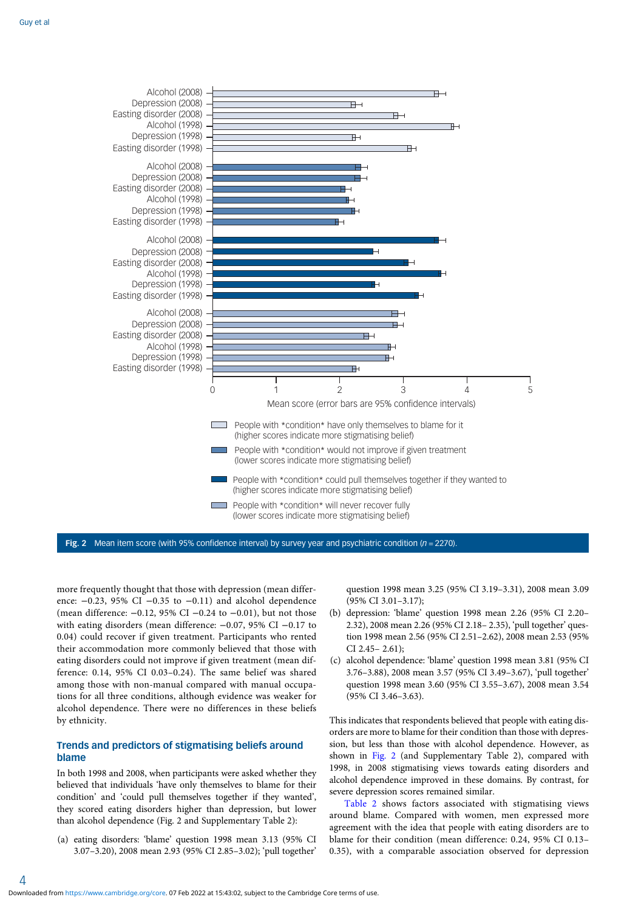<span id="page-3-0"></span>

Fig. 2 Mean item score (with 95% confidence interval) by survey year and psychiatric condition ( $n = 2270$ ).

more frequently thought that those with depression (mean difference:  $-0.23$ , 95% CI  $-0.35$  to  $-0.11$ ) and alcohol dependence (mean difference: −0.12, 95% CI −0.24 to −0.01), but not those with eating disorders (mean difference:  $-0.07$ , 95% CI  $-0.17$  to 0.04) could recover if given treatment. Participants who rented their accommodation more commonly believed that those with eating disorders could not improve if given treatment (mean difference: 0.14, 95% CI 0.03–0.24). The same belief was shared among those with non-manual compared with manual occupations for all three conditions, although evidence was weaker for alcohol dependence. There were no differences in these beliefs by ethnicity.

# Trends and predictors of stigmatising beliefs around blame

In both 1998 and 2008, when participants were asked whether they believed that individuals 'have only themselves to blame for their condition' and 'could pull themselves together if they wanted', they scored eating disorders higher than depression, but lower than alcohol dependence (Fig. 2 and Supplementary Table 2):

(a) eating disorders: 'blame' question 1998 mean 3.13 (95% CI 3.07–3.20), 2008 mean 2.93 (95% CI 2.85–3.02); 'pull together'

question 1998 mean 3.25 (95% CI 3.19–3.31), 2008 mean 3.09 (95% CI 3.01–3.17);

- (b) depression: 'blame' question 1998 mean 2.26 (95% CI 2.20– 2.32), 2008 mean 2.26 (95% CI 2.18– 2.35), 'pull together' question 1998 mean 2.56 (95% CI 2.51–2.62), 2008 mean 2.53 (95% CI 2.45– 2.61);
- (c) alcohol dependence: 'blame' question 1998 mean 3.81 (95% CI 3.76–3.88), 2008 mean 3.57 (95% CI 3.49–3.67), 'pull together' question 1998 mean 3.60 (95% CI 3.55–3.67), 2008 mean 3.54 (95% CI 3.46–3.63).

This indicates that respondents believed that people with eating disorders are more to blame for their condition than those with depression, but less than those with alcohol dependence. However, as shown in Fig. 2 (and Supplementary Table 2), compared with 1998, in 2008 stigmatising views towards eating disorders and alcohol dependence improved in these domains. By contrast, for severe depression scores remained similar.

[Table 2](#page-4-0) shows factors associated with stigmatising views around blame. Compared with women, men expressed more agreement with the idea that people with eating disorders are to blame for their condition (mean difference: 0.24, 95% CI 0.13– 0.35), with a comparable association observed for depression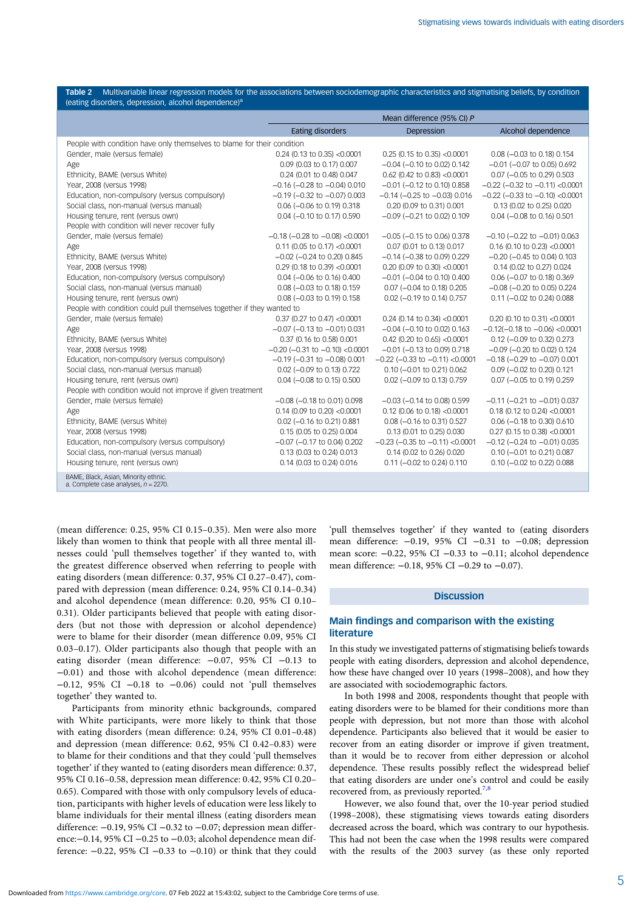<span id="page-4-0"></span>

| Table 2 Multivariable linear regression models for the associations between sociodemographic characteristics and stigmatising beliefs, by condition<br>(eating disorders, depression, alcohol dependence) <sup>a</sup> |                                        |                                        |                                          |
|------------------------------------------------------------------------------------------------------------------------------------------------------------------------------------------------------------------------|----------------------------------------|----------------------------------------|------------------------------------------|
|                                                                                                                                                                                                                        | Mean difference (95% CI) P             |                                        |                                          |
|                                                                                                                                                                                                                        | <b>Eating disorders</b>                | Depression                             | Alcohol dependence                       |
| People with condition have only themselves to blame for their condition                                                                                                                                                |                                        |                                        |                                          |
| Gender, male (versus female)                                                                                                                                                                                           | $0.24$ (0.13 to 0.35) <0.0001          | $0.25$ (0.15 to 0.35) <0.0001          | 0.08 (-0.03 to 0.18) 0.154               |
| Age                                                                                                                                                                                                                    | 0.09 (0.03 to 0.17) 0.007              | $-0.04$ ( $-0.10$ to 0.02) 0.142       | $-0.01$ ( $-0.07$ to 0.05) 0.692         |
| Ethnicity, BAME (versus White)                                                                                                                                                                                         | 0.24 (0.01 to 0.48) 0.047              | $0.62$ (0.42 to 0.83) <0.0001          | 0.07 (-0.05 to 0.29) 0.503               |
| Year, 2008 (versus 1998)                                                                                                                                                                                               | $-0.16$ ( $-0.28$ to $-0.04$ ) 0.010   | $-0.01$ ( $-0.12$ to 0.10) 0.858       | $-0.22$ ( $-0.32$ to $-0.11$ ) <0.0001   |
| Education, non-compulsory (versus compulsory)                                                                                                                                                                          | $-0.19$ ( $-0.32$ to $-0.07$ ) 0.003   | $-0.14$ ( $-0.25$ to $-0.03$ ) 0.016   | $-0.22$ ( $-0.33$ to $-0.10$ ) <0.0001   |
| Social class, non-manual (versus manual)                                                                                                                                                                               | 0.06 (-0.06 to 0.19) 0.318             | 0.20 (0.09 to 0.31) 0.001              | 0.13 (0.02 to 0.25) 0.020                |
| Housing tenure, rent (versus own)                                                                                                                                                                                      | 0.04 (-0.10 to 0.17) 0.590             | $-0.09$ ( $-0.21$ to 0.02) 0.109       | 0.04 (-0.08 to 0.16) 0.501               |
| People with condition will never recover fully                                                                                                                                                                         |                                        |                                        |                                          |
| Gender, male (versus female)                                                                                                                                                                                           | $-0.18$ ( $-0.28$ to $-0.08$ ) <0.0001 | $-0.05$ ( $-0.15$ to 0.06) 0.378       | $-0.10$ ( $-0.22$ to $-0.01$ ) 0.063     |
| Age                                                                                                                                                                                                                    | $0.11$ (0.05 to 0.17) <0.0001          | 0.07 (0.01 to 0.13) 0.017              | $0.16$ (0.10 to 0.23) <0.0001            |
| Ethnicity, BAME (versus White)                                                                                                                                                                                         | $-0.02$ ( $-0.24$ to 0.20) 0.845       | $-0.14$ ( $-0.38$ to 0.09) 0.229       | $-0.20$ ( $-0.45$ to 0.04) 0.103         |
| Year, 2008 (versus 1998)                                                                                                                                                                                               | $0.29$ (0.18 to 0.39) < 0.0001         | $0.20$ (0.09 to 0.30) <0.0001          | 0.14 (0.02 to 0.27) 0.024                |
| Education, non-compulsory (versus compulsory)                                                                                                                                                                          | 0.04 (-0.06 to 0.16) 0.400             | $-0.01$ ( $-0.04$ to 0.10) 0.400       | 0.06 (-0.07 to 0.18) 0.369               |
| Social class, non-manual (versus manual)                                                                                                                                                                               | 0.08 (-0.03 to 0.18) 0.159             | 0.07 (-0.04 to 0.18) 0.205             | $-0.08$ ( $-0.20$ to 0.05) 0.224         |
| Housing tenure, rent (versus own)                                                                                                                                                                                      | 0.08 (-0.03 to 0.19) 0.158             | 0.02 (-0.19 to 0.14) 0.757             | 0.11 (-0.02 to 0.24) 0.088               |
| People with condition could pull themselves together if they wanted to                                                                                                                                                 |                                        |                                        |                                          |
| Gender, male (versus female)                                                                                                                                                                                           | 0.37 (0.27 to 0.47) <0.0001            | 0.24 (0.14 to 0.34) < $0.0001$         | $0.20$ (0.10 to 0.31) <0.0001            |
| Age                                                                                                                                                                                                                    | $-0.07$ ( $-0.13$ to $-0.01$ ) 0.031   | $-0.04$ ( $-0.10$ to 0.02) 0.163       | $-0.12(-0.18 \text{ to } -0.06)$ <0.0001 |
| Ethnicity, BAME (versus White)                                                                                                                                                                                         | 0.37 (0.16 to 0.58) 0.001              | 0.42 (0.20 to 0.65) < $0.0001$         | 0.12 (-0.09 to 0.32) 0.273               |
| Year, 2008 (versus 1998)                                                                                                                                                                                               | $-0.20$ ( $-0.31$ to $-0.10$ ) <0.0001 | $-0.01$ ( $-0.13$ to 0.09) 0.718       | $-0.09$ ( $-0.20$ to 0.02) 0.124         |
| Education, non-compulsory (versus compulsory)                                                                                                                                                                          | $-0.19$ ( $-0.31$ to $-0.08$ ) 0.001   | $-0.22$ ( $-0.33$ to $-0.11$ ) <0.0001 | $-0.18$ ( $-0.29$ to $-0.07$ ) 0.001     |
| Social class, non-manual (versus manual)                                                                                                                                                                               | 0.02 (-0.09 to 0.13) 0.722             | 0.10 (-0.01 to 0.21) 0.062             | 0.09 (-0.02 to 0.20) 0.121               |
| Housing tenure, rent (versus own)                                                                                                                                                                                      | 0.04 (-0.08 to 0.15) 0.500             | 0.02 (-0.09 to 0.13) 0.759             | 0.07 (-0.05 to 0.19) 0.259               |
| People with condition would not improve if given treatment                                                                                                                                                             |                                        |                                        |                                          |
| Gender, male (versus female)                                                                                                                                                                                           | $-0.08$ ( $-0.18$ to 0.01) 0.098       | $-0.03$ ( $-0.14$ to 0.08) 0.599       | $-0.11$ ( $-0.21$ to $-0.01$ ) 0.037     |
| Age                                                                                                                                                                                                                    | 0.14 (0.09 to 0.20) < $0.0001$         | $0.12$ (0.06 to 0.18) < 0.0001         | $0.18$ (0.12 to 0.24) < 0.0001           |
| Ethnicity, BAME (versus White)                                                                                                                                                                                         | 0.02 (-0.16 to 0.21) 0.881             | 0.08 (-0.16 to 0.31) 0.527             | $0.06$ (-0.18 to 0.30) 0.610             |
| Year, 2008 (versus 1998)                                                                                                                                                                                               | 0.15 (0.05 to 0.25) 0.004              | 0.13 (0.01 to 0.25) 0.030              | $0.27$ (0.15 to 0.38) < 0.0001           |
| Education, non-compulsory (versus compulsory)                                                                                                                                                                          | $-0.07$ ( $-0.17$ to 0.04) 0.202       | $-0.23$ ( $-0.35$ to $-0.11$ ) <0.0001 | $-0.12$ ( $-0.24$ to $-0.01$ ) 0.035     |
| Social class, non-manual (versus manual)                                                                                                                                                                               | 0.13 (0.03 to 0.24) 0.013              | 0.14 (0.02 to 0.26) 0.020              | 0.10 (-0.01 to 0.21) 0.087               |
| Housing tenure, rent (versus own)                                                                                                                                                                                      | 0.14 (0.03 to 0.24) 0.016              | 0.11 (-0.02 to 0.24) 0.110             | 0.10 (-0.02 to 0.22) 0.088               |
| BAME, Black, Asian, Minority ethnic.<br>a. Complete case analyses, $n = 2270$ .                                                                                                                                        |                                        |                                        |                                          |

(mean difference: 0.25, 95% CI 0.15–0.35). Men were also more likely than women to think that people with all three mental illnesses could 'pull themselves together' if they wanted to, with the greatest difference observed when referring to people with eating disorders (mean difference: 0.37, 95% CI 0.27–0.47), compared with depression (mean difference: 0.24, 95% CI 0.14–0.34) and alcohol dependence (mean difference: 0.20, 95% CI 0.10– 0.31). Older participants believed that people with eating disorders (but not those with depression or alcohol dependence) were to blame for their disorder (mean difference 0.09, 95% CI 0.03–0.17). Older participants also though that people with an eating disorder (mean difference: -0.07, 95% CI -0.13 to −0.01) and those with alcohol dependence (mean difference: −0.12, 95% CI −0.18 to −0.06) could not 'pull themselves together' they wanted to.

Participants from minority ethnic backgrounds, compared with White participants, were more likely to think that those with eating disorders (mean difference: 0.24, 95% CI 0.01–0.48) and depression (mean difference: 0.62, 95% CI 0.42–0.83) were to blame for their conditions and that they could 'pull themselves together' if they wanted to (eating disorders mean difference: 0.37, 95% CI 0.16–0.58, depression mean difference: 0.42, 95% CI 0.20– 0.65). Compared with those with only compulsory levels of education, participants with higher levels of education were less likely to blame individuals for their mental illness (eating disorders mean difference: −0.19, 95% CI −0.32 to −0.07; depression mean difference:−0.14, 95% CI −0.25 to −0.03; alcohol dependence mean difference: −0.22, 95% CI −0.33 to −0.10) or think that they could

'pull themselves together' if they wanted to (eating disorders mean difference: −0.19, 95% CI −0.31 to −0.08; depression mean score: −0.22, 95% CI −0.33 to −0.11; alcohol dependence mean difference: -0.18, 95% CI -0.29 to -0.07).

## **Discussion**

# Main findings and comparison with the existing literature

In this study we investigated patterns of stigmatising beliefs towards people with eating disorders, depression and alcohol dependence, how these have changed over 10 years (1998–2008), and how they are associated with sociodemographic factors.

In both 1998 and 2008, respondents thought that people with eating disorders were to be blamed for their conditions more than people with depression, but not more than those with alcohol dependence. Participants also believed that it would be easier to recover from an eating disorder or improve if given treatment, than it would be to recover from either depression or alcohol dependence. These results possibly reflect the widespread belief that eating disorders are under one's control and could be easily recovered from, as previously reported.<sup>[7](#page-6-0),[8](#page-6-0)</sup>

However, we also found that, over the 10-year period studied (1998–2008), these stigmatising views towards eating disorders decreased across the board, which was contrary to our hypothesis. This had not been the case when the 1998 results were compared with the results of the 2003 survey (as these only reported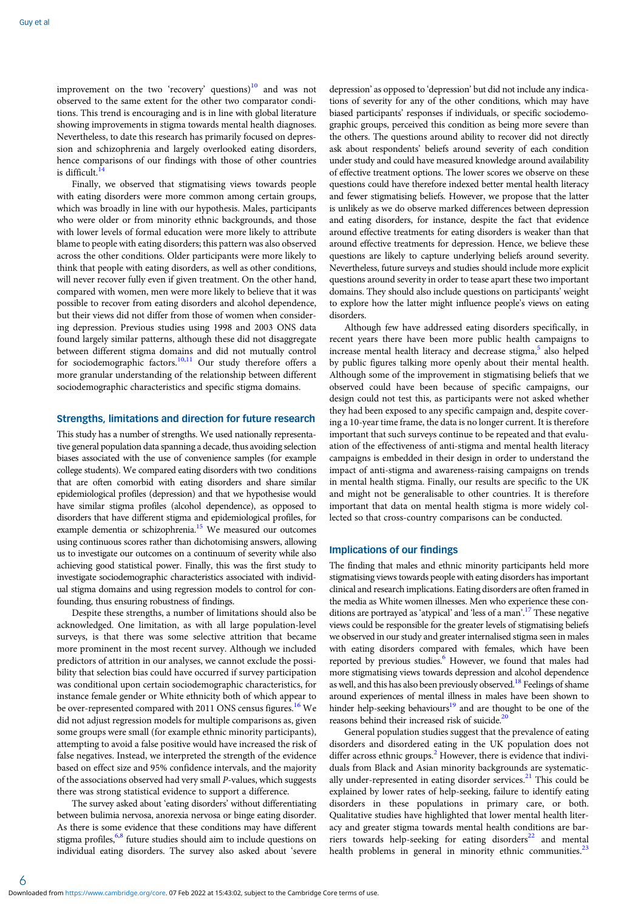improvement on the two 'recovery' questions) $10$  and was not observed to the same extent for the other two comparator conditions. This trend is encouraging and is in line with global literature showing improvements in stigma towards mental health diagnoses. Nevertheless, to date this research has primarily focused on depression and schizophrenia and largely overlooked eating disorders, hence comparisons of our findings with those of other countries is difficult. $<sup>1</sup>$ </sup>

Finally, we observed that stigmatising views towards people with eating disorders were more common among certain groups, which was broadly in line with our hypothesis. Males, participants who were older or from minority ethnic backgrounds, and those with lower levels of formal education were more likely to attribute blame to people with eating disorders; this pattern was also observed across the other conditions. Older participants were more likely to think that people with eating disorders, as well as other conditions, will never recover fully even if given treatment. On the other hand, compared with women, men were more likely to believe that it was possible to recover from eating disorders and alcohol dependence, but their views did not differ from those of women when considering depression. Previous studies using 1998 and 2003 ONS data found largely similar patterns, although these did not disaggregate between different stigma domains and did not mutually control for sociodemographic factors.<sup>[10](#page-6-0),[11](#page-6-0)</sup> Our study therefore offers a more granular understanding of the relationship between different sociodemographic characteristics and specific stigma domains.

# Strengths, limitations and direction for future research

This study has a number of strengths. We used nationally representative general population data spanning a decade, thus avoiding selection biases associated with the use of convenience samples (for example college students). We compared eating disorders with two conditions that are often comorbid with eating disorders and share similar epidemiological profiles (depression) and that we hypothesise would have similar stigma profiles (alcohol dependence), as opposed to disorders that have different stigma and epidemiological profiles, for example dementia or schizophrenia.<sup>15</sup> We measured our outcomes using continuous scores rather than dichotomising answers, allowing us to investigate our outcomes on a continuum of severity while also achieving good statistical power. Finally, this was the first study to investigate sociodemographic characteristics associated with individual stigma domains and using regression models to control for confounding, thus ensuring robustness of findings.

Despite these strengths, a number of limitations should also be acknowledged. One limitation, as with all large population-level surveys, is that there was some selective attrition that became more prominent in the most recent survey. Although we included predictors of attrition in our analyses, we cannot exclude the possibility that selection bias could have occurred if survey participation was conditional upon certain sociodemographic characteristics, for instance female gender or White ethnicity both of which appear to be over-represented compared with 2011 ONS census figures.<sup>[16](#page-6-0)</sup> We did not adjust regression models for multiple comparisons as, given some groups were small (for example ethnic minority participants), attempting to avoid a false positive would have increased the risk of false negatives. Instead, we interpreted the strength of the evidence based on effect size and 95% confidence intervals, and the majority of the associations observed had very small P-values, which suggests there was strong statistical evidence to support a difference.

The survey asked about 'eating disorders' without differentiating between bulimia nervosa, anorexia nervosa or binge eating disorder. As there is some evidence that these conditions may have different stigma profiles, $6,8$  $6,8$  future studies should aim to include questions on individual eating disorders. The survey also asked about 'severe

depression' as opposed to 'depression' but did not include any indications of severity for any of the other conditions, which may have biased participants' responses if individuals, or specific sociodemographic groups, perceived this condition as being more severe than the others. The questions around ability to recover did not directly ask about respondents' beliefs around severity of each condition under study and could have measured knowledge around availability of effective treatment options. The lower scores we observe on these questions could have therefore indexed better mental health literacy and fewer stigmatising beliefs. However, we propose that the latter is unlikely as we do observe marked differences between depression and eating disorders, for instance, despite the fact that evidence around effective treatments for eating disorders is weaker than that around effective treatments for depression. Hence, we believe these questions are likely to capture underlying beliefs around severity. Nevertheless, future surveys and studies should include more explicit questions around severity in order to tease apart these two important domains. They should also include questions on participants' weight to explore how the latter might influence people's views on eating disorders.

Although few have addressed eating disorders specifically, in recent years there have been more public health campaigns to increase mental health literacy and decrease stigma,<sup>[5](#page-6-0)</sup> also helped by public figures talking more openly about their mental health. Although some of the improvement in stigmatising beliefs that we observed could have been because of specific campaigns, our design could not test this, as participants were not asked whether they had been exposed to any specific campaign and, despite covering a 10-year time frame, the data is no longer current. It is therefore important that such surveys continue to be repeated and that evaluation of the effectiveness of anti-stigma and mental health literacy campaigns is embedded in their design in order to understand the impact of anti-stigma and awareness-raising campaigns on trends in mental health stigma. Finally, our results are specific to the UK and might not be generalisable to other countries. It is therefore important that data on mental health stigma is more widely collected so that cross-country comparisons can be conducted.

# Implications of our findings

The finding that males and ethnic minority participants held more stigmatising views towards people with eating disorders has important clinical and research implications. Eating disorders are often framed in the media as White women illnesses. Men who experience these con-ditions are portrayed as 'atypical' and 'less of a man'.<sup>[17](#page-6-0)</sup> These negative views could be responsible for the greater levels of stigmatising beliefs we observed in our study and greater internalised stigma seen in males with eating disorders compared with females, which have been reported by previous studies.<sup>[6](#page-6-0)</sup> However, we found that males had more stigmatising views towards depression and alcohol dependence as well, and this has also been previously observed.<sup>18</sup> Feelings of shame around experiences of mental illness in males have been shown to hinder help-seeking behaviours<sup>19</sup> and are thought to be one of the reasons behind their increased risk of suicide. $^{20}$  $^{20}$  $^{20}$ 

General population studies suggest that the prevalence of eating disorders and disordered eating in the UK population does not differ across ethnic groups. $<sup>2</sup>$  $<sup>2</sup>$  $<sup>2</sup>$  However, there is evidence that indivi-</sup> duals from Black and Asian minority backgrounds are systematic-ally under-represented in eating disorder services.<sup>[21](#page-6-0)</sup> This could be explained by lower rates of help-seeking, failure to identify eating disorders in these populations in primary care, or both. Qualitative studies have highlighted that lower mental health literacy and greater stigma towards mental health conditions are barriers towards help-seeking for eating disorders $22$  and mental health problems in general in minority ethnic communities.<sup>[23](#page-6-0)</sup>